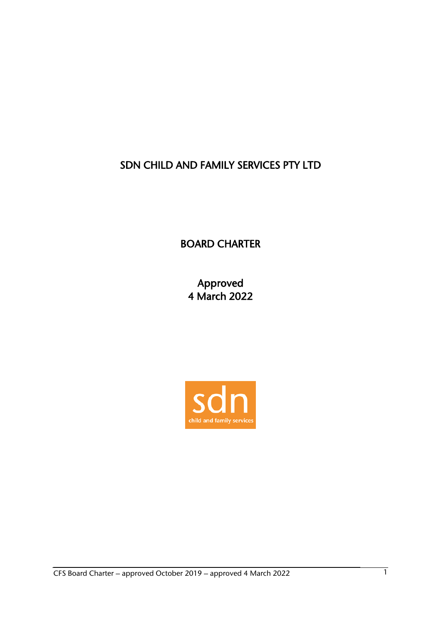# SDN CHILD AND FAMILY SERVICES PTY LTD

BOARD CHARTER

Approved 4 March 2022

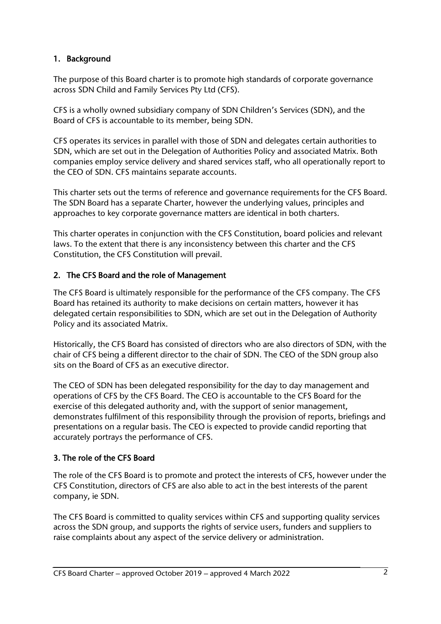# 1. Background

The purpose of this Board charter is to promote high standards of corporate governance across SDN Child and Family Services Pty Ltd (CFS).

CFS is a wholly owned subsidiary company of SDN Children's Services (SDN), and the Board of CFS is accountable to its member, being SDN.

CFS operates its services in parallel with those of SDN and delegates certain authorities to SDN, which are set out in the Delegation of Authorities Policy and associated Matrix. Both companies employ service delivery and shared services staff, who all operationally report to the CEO of SDN. CFS maintains separate accounts.

This charter sets out the terms of reference and governance requirements for the CFS Board. The SDN Board has a separate Charter, however the underlying values, principles and approaches to key corporate governance matters are identical in both charters.

This charter operates in conjunction with the CFS Constitution, board policies and relevant laws. To the extent that there is any inconsistency between this charter and the CFS Constitution, the CFS Constitution will prevail.

# 2. The CFS Board and the role of Management

The CFS Board is ultimately responsible for the performance of the CFS company. The CFS Board has retained its authority to make decisions on certain matters, however it has delegated certain responsibilities to SDN, which are set out in the Delegation of Authority Policy and its associated Matrix.

Historically, the CFS Board has consisted of directors who are also directors of SDN, with the chair of CFS being a different director to the chair of SDN. The CEO of the SDN group also sits on the Board of CFS as an executive director.

The CEO of SDN has been delegated responsibility for the day to day management and operations of CFS by the CFS Board. The CEO is accountable to the CFS Board for the exercise of this delegated authority and, with the support of senior management, demonstrates fulfilment of this responsibility through the provision of reports, briefings and presentations on a regular basis. The CEO is expected to provide candid reporting that accurately portrays the performance of CFS.

# 3. The role of the CFS Board

The role of the CFS Board is to promote and protect the interests of CFS, however under the CFS Constitution, directors of CFS are also able to act in the best interests of the parent company, ie SDN.

The CFS Board is committed to quality services within CFS and supporting quality services across the SDN group, and supports the rights of service users, funders and suppliers to raise complaints about any aspect of the service delivery or administration.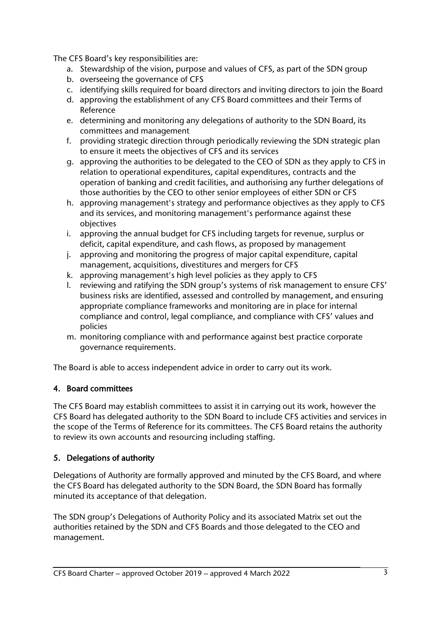The CFS Board's key responsibilities are:

- a. Stewardship of the vision, purpose and values of CFS, as part of the SDN group
- b. overseeing the governance of CFS
- c. identifying skills required for board directors and inviting directors to join the Board
- d. approving the establishment of any CFS Board committees and their Terms of Reference
- e. determining and monitoring any delegations of authority to the SDN Board, its committees and management
- f. providing strategic direction through periodically reviewing the SDN strategic plan to ensure it meets the objectives of CFS and its services
- g. approving the authorities to be delegated to the CEO of SDN as they apply to CFS in relation to operational expenditures, capital expenditures, contracts and the operation of banking and credit facilities, and authorising any further delegations of those authorities by the CEO to other senior employees of either SDN or CFS
- h. approving management's strategy and performance objectives as they apply to CFS and its services, and monitoring management's performance against these objectives
- i. approving the annual budget for CFS including targets for revenue, surplus or deficit, capital expenditure, and cash flows, as proposed by management
- j. approving and monitoring the progress of major capital expenditure, capital management, acquisitions, divestitures and mergers for CFS
- k. approving management's high level policies as they apply to CFS
- l. reviewing and ratifying the SDN group's systems of risk management to ensure CFS' business risks are identified, assessed and controlled by management, and ensuring appropriate compliance frameworks and monitoring are in place for internal compliance and control, legal compliance, and compliance with CFS' values and policies
- m. monitoring compliance with and performance against best practice corporate governance requirements.

The Board is able to access independent advice in order to carry out its work.

# 4. Board committees

The CFS Board may establish committees to assist it in carrying out its work, however the CFS Board has delegated authority to the SDN Board to include CFS activities and services in the scope of the Terms of Reference for its committees. The CFS Board retains the authority to review its own accounts and resourcing including staffing.

# 5. Delegations of authority

Delegations of Authority are formally approved and minuted by the CFS Board, and where the CFS Board has delegated authority to the SDN Board, the SDN Board has formally minuted its acceptance of that delegation.

The SDN group's Delegations of Authority Policy and its associated Matrix set out the authorities retained by the SDN and CFS Boards and those delegated to the CEO and management.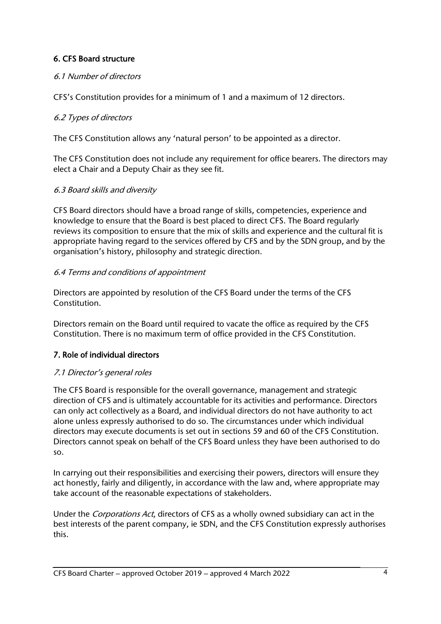# 6. CFS Board structure

# 6.1 Number of directors

CFS's Constitution provides for a minimum of 1 and a maximum of 12 directors.

### 6.2 Types of directors

The CFS Constitution allows any 'natural person' to be appointed as a director.

The CFS Constitution does not include any requirement for office bearers. The directors may elect a Chair and a Deputy Chair as they see fit.

### 6.3 Board skills and diversity

CFS Board directors should have a broad range of skills, competencies, experience and knowledge to ensure that the Board is best placed to direct CFS. The Board regularly reviews its composition to ensure that the mix of skills and experience and the cultural fit is appropriate having regard to the services offered by CFS and by the SDN group, and by the organisation's history, philosophy and strategic direction.

### 6.4 Terms and conditions of appointment

Directors are appointed by resolution of the CFS Board under the terms of the CFS Constitution.

Directors remain on the Board until required to vacate the office as required by the CFS Constitution. There is no maximum term of office provided in the CFS Constitution.

# 7. Role of individual directors

# 7.1 Director's general roles

The CFS Board is responsible for the overall governance, management and strategic direction of CFS and is ultimately accountable for its activities and performance. Directors can only act collectively as a Board, and individual directors do not have authority to act alone unless expressly authorised to do so. The circumstances under which individual directors may execute documents is set out in sections 59 and 60 of the CFS Constitution. Directors cannot speak on behalf of the CFS Board unless they have been authorised to do so.

In carrying out their responsibilities and exercising their powers, directors will ensure they act honestly, fairly and diligently, in accordance with the law and, where appropriate may take account of the reasonable expectations of stakeholders.

Under the Corporations Act, directors of CFS as a wholly owned subsidiary can act in the best interests of the parent company, ie SDN, and the CFS Constitution expressly authorises this.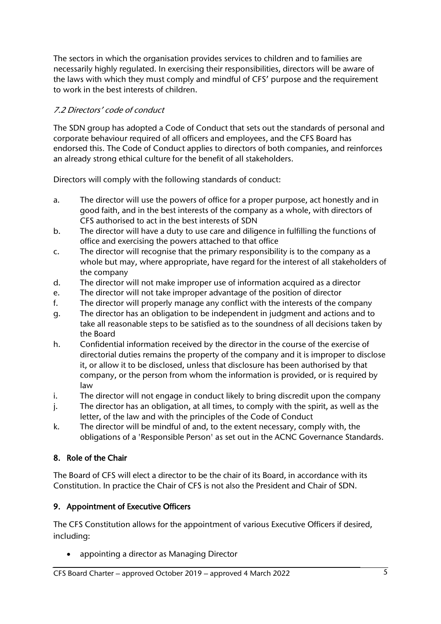The sectors in which the organisation provides services to children and to families are necessarily highly regulated. In exercising their responsibilities, directors will be aware of the laws with which they must comply and mindful of CFS' purpose and the requirement to work in the best interests of children.

# 7.2 Directors' code of conduct

The SDN group has adopted a Code of Conduct that sets out the standards of personal and corporate behaviour required of all officers and employees, and the CFS Board has endorsed this. The Code of Conduct applies to directors of both companies, and reinforces an already strong ethical culture for the benefit of all stakeholders.

Directors will comply with the following standards of conduct:

- a. The director will use the powers of office for a proper purpose, act honestly and in good faith, and in the best interests of the company as a whole, with directors of CFS authorised to act in the best interests of SDN
- b. The director will have a duty to use care and diligence in fulfilling the functions of office and exercising the powers attached to that office
- c. The director will recognise that the primary responsibility is to the company as a whole but may, where appropriate, have regard for the interest of all stakeholders of the company
- d. The director will not make improper use of information acquired as a director
- e. The director will not take improper advantage of the position of director
- f. The director will properly manage any conflict with the interests of the company
- g. The director has an obligation to be independent in judgment and actions and to take all reasonable steps to be satisfied as to the soundness of all decisions taken by the Board
- h. Confidential information received by the director in the course of the exercise of directorial duties remains the property of the company and it is improper to disclose it, or allow it to be disclosed, unless that disclosure has been authorised by that company, or the person from whom the information is provided, or is required by law
- i. The director will not engage in conduct likely to bring discredit upon the company
- j. The director has an obligation, at all times, to comply with the spirit, as well as the letter, of the law and with the principles of the Code of Conduct
- k. The director will be mindful of and, to the extent necessary, comply with, the obligations of a 'Responsible Person' as set out in the ACNC Governance Standards.

# 8. Role of the Chair

The Board of CFS will elect a director to be the chair of its Board, in accordance with its Constitution. In practice the Chair of CFS is not also the President and Chair of SDN.

# 9. Appointment of Executive Officers

The CFS Constitution allows for the appointment of various Executive Officers if desired, including:

appointing a director as Managing Director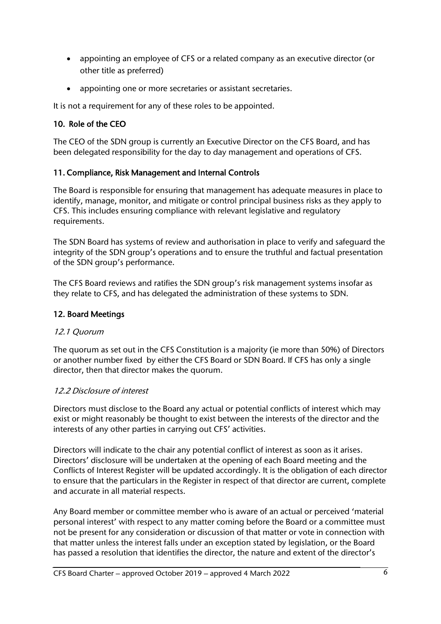- appointing an employee of CFS or a related company as an executive director (or other title as preferred)
- appointing one or more secretaries or assistant secretaries.

It is not a requirement for any of these roles to be appointed.

# 10. Role of the CEO

The CEO of the SDN group is currently an Executive Director on the CFS Board, and has been delegated responsibility for the day to day management and operations of CFS.

### 11. Compliance, Risk Management and Internal Controls

The Board is responsible for ensuring that management has adequate measures in place to identify, manage, monitor, and mitigate or control principal business risks as they apply to CFS. This includes ensuring compliance with relevant legislative and regulatory requirements.

The SDN Board has systems of review and authorisation in place to verify and safeguard the integrity of the SDN group's operations and to ensure the truthful and factual presentation of the SDN group's performance.

The CFS Board reviews and ratifies the SDN group's risk management systems insofar as they relate to CFS, and has delegated the administration of these systems to SDN.

# 12. Board Meetings

#### 12.1 Quorum

The quorum as set out in the CFS Constitution is a majority (ie more than 50%) of Directors or another number fixed by either the CFS Board or SDN Board. If CFS has only a single director, then that director makes the quorum.

# 12.2 Disclosure of interest

Directors must disclose to the Board any actual or potential conflicts of interest which may exist or might reasonably be thought to exist between the interests of the director and the interests of any other parties in carrying out CFS' activities.

Directors will indicate to the chair any potential conflict of interest as soon as it arises. Directors' disclosure will be undertaken at the opening of each Board meeting and the Conflicts of Interest Register will be updated accordingly. It is the obligation of each director to ensure that the particulars in the Register in respect of that director are current, complete and accurate in all material respects.

Any Board member or committee member who is aware of an actual or perceived 'material personal interest' with respect to any matter coming before the Board or a committee must not be present for any consideration or discussion of that matter or vote in connection with that matter unless the interest falls under an exception stated by legislation, or the Board has passed a resolution that identifies the director, the nature and extent of the director's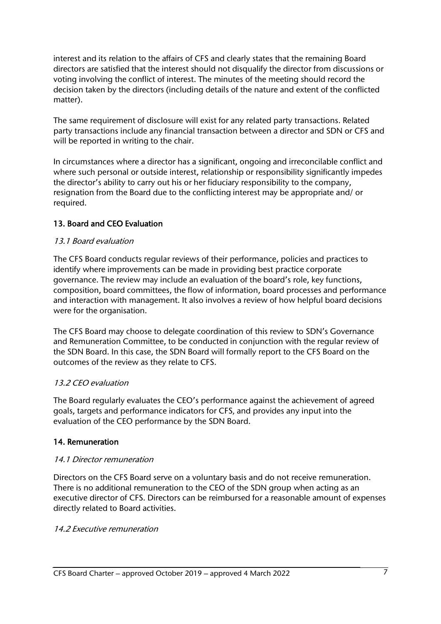interest and its relation to the affairs of CFS and clearly states that the remaining Board directors are satisfied that the interest should not disqualify the director from discussions or voting involving the conflict of interest. The minutes of the meeting should record the decision taken by the directors (including details of the nature and extent of the conflicted matter).

The same requirement of disclosure will exist for any related party transactions. Related party transactions include any financial transaction between a director and SDN or CFS and will be reported in writing to the chair.

In circumstances where a director has a significant, ongoing and irreconcilable conflict and where such personal or outside interest, relationship or responsibility significantly impedes the director's ability to carry out his or her fiduciary responsibility to the company, resignation from the Board due to the conflicting interest may be appropriate and/ or required.

# 13. Board and CEO Evaluation

#### 13.1 Board evaluation

The CFS Board conducts regular reviews of their performance, policies and practices to identify where improvements can be made in providing best practice corporate governance. The review may include an evaluation of the board's role, key functions, composition, board committees, the flow of information, board processes and performance and interaction with management. It also involves a review of how helpful board decisions were for the organisation.

The CFS Board may choose to delegate coordination of this review to SDN's Governance and Remuneration Committee, to be conducted in conjunction with the regular review of the SDN Board. In this case, the SDN Board will formally report to the CFS Board on the outcomes of the review as they relate to CFS.

# 13.2 CEO evaluation

The Board regularly evaluates the CEO's performance against the achievement of agreed goals, targets and performance indicators for CFS, and provides any input into the evaluation of the CEO performance by the SDN Board.

# 14. Remuneration

#### 14.1 Director remuneration

Directors on the CFS Board serve on a voluntary basis and do not receive remuneration. There is no additional remuneration to the CEO of the SDN group when acting as an executive director of CFS. Directors can be reimbursed for a reasonable amount of expenses directly related to Board activities.

#### 14.2 Executive remuneration